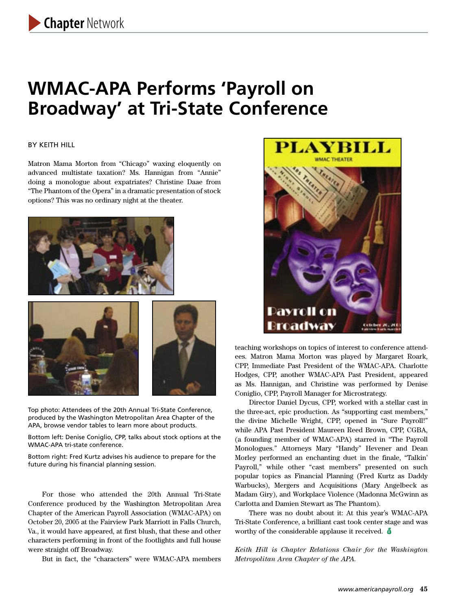# **WMAC-APA Performs 'Payroll on Broadway' at Tri-State Conference**

#### BY KEITH HILL

Matron Mama Morton from "Chicago" waxing eloquently on advanced multistate taxation? Ms. Hannigan from "Annie" doing a monologue about expatriates? Christine Daae from "The Phantom of the Opera" in a dramatic presentation of stock options? This was no ordinary night at the theater.





Top photo: Attendees of the 20th Annual Tri-State Conference, produced by the Washington Metropolitan Area Chapter of the APA, browse vendor tables to learn more about products.

Bottom left: Denise Coniglio, CPP, talks about stock options at the WMAC-APA tri-state conference.

Bottom right: Fred Kurtz advises his audience to prepare for the future during his financial planning session.

For those who attended the 20th Annual Tri-State Conference produced by the Washington Metropolitan Area Chapter of the American Payroll Association (WMAC-APA) on October 20, 2005 at the Fairview Park Marriott in Falls Church, Va., it would have appeared, at first blush, that these and other characters performing in front of the footlights and full house were straight off Broadway.

But in fact, the "characters" were WMAC-APA members



teaching workshops on topics of interest to conference attendees. Matron Mama Morton was played by Margaret Roark, CPP, Immediate Past President of the WMAC-APA. Charlotte Hodges, CPP, another WMAC-APA Past President, appeared as Ms. Hannigan, and Christine was performed by Denise Coniglio, CPP, Payroll Manager for Microstrategy.

Director Daniel Dycus, CPP, worked with a stellar cast in the three-act, epic production. As "supporting cast members," the divine Michelle Wright, CPP, opened in "Sure Payroll!" while APA Past President Maureen Reed Brown, CPP, CGBA, (a founding member of WMAC-APA) starred in "The Payroll Monologues." Attorneys Mary "Handy" Hevener and Dean Morley performed an enchanting duet in the finale, "Talkin' Payroll," while other "cast members" presented on such popular topics as Financial Planning (Fred Kurtz as Daddy Warbucks), Mergers and Acquisitions (Mary Angelbeck as Madam Giry), and Workplace Violence (Madonna McGwinn as Carlotta and Damien Stewart as The Phantom).

There was no doubt about it: At this year's WMAC-APA Tri-State Conference, a brilliant cast took center stage and was worthy of the considerable applause it received.  $\ddot{\bullet}$ 

*Keith Hill is Chapter Relations Chair for the Washington Metropolitan Area Chapter of the APA.*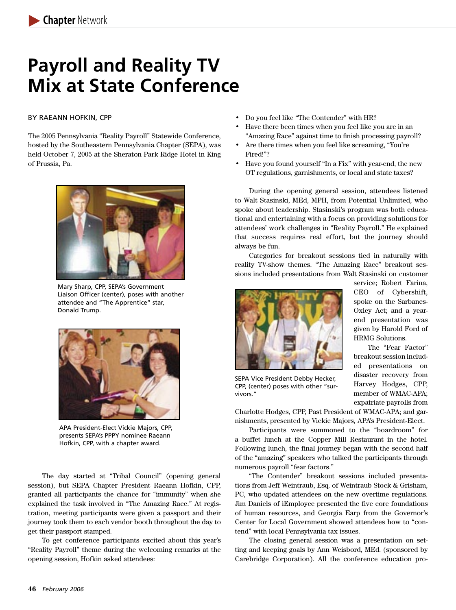# **Payroll and Reality TV Mix at State Conference**

#### BY RAEANN HOFKIN, CPP

The 2005 Pennsylvania "Reality Payroll" Statewide Conference, hosted by the Southeastern Pennsylvania Chapter (SEPA), was held October 7, 2005 at the Sheraton Park Ridge Hotel in King of Prussia, Pa.



Mary Sharp, CPP, SEPA's Government Liaison Officer (center), poses with another attendee and "The Apprentice" star, Donald Trump.



APA President-Elect Vickie Majors, CPP, presents SEPA's PPPY nominee Raeann Hofkin, CPP, with a chapter award.

The day started at "Tribal Council" (opening general session), but SEPA Chapter President Raeann Hofkin, CPP, granted all participants the chance for "immunity" when she explained the task involved in "The Amazing Race." At registration, meeting participants were given a passport and their journey took them to each vendor booth throughout the day to get their passport stamped.

To get conference participants excited about this year's "Reality Payroll" theme during the welcoming remarks at the opening session, Hofkin asked attendees:

- Do you feel like "The Contender" with HR?
- Have there been times when you feel like you are in an "Amazing Race" against time to finish processing payroll?
- Are there times when you feel like screaming, "You're Fired!"?
- Have you found yourself "In a Fix" with year-end, the new OT regulations, garnishments, or local and state taxes?

During the opening general session, attendees listened to Walt Stasinski, MEd, MPH, from Potential Unlimited, who spoke about leadership. Stasinski's program was both educational and entertaining with a focus on providing solutions for attendees' work challenges in "Reality Payroll." He explained that success requires real effort, but the journey should always be fun.

Categories for breakout sessions tied in naturally with reality TV-show themes. "The Amazing Race" breakout sessions included presentations from Walt Stasinski on customer



SEPA Vice President Debby Hecker, CPP, (center) poses with other "survivors."

service; Robert Farina, CEO of Cybershift, spoke on the Sarbanes-Oxley Act; and a yearend presentation was given by Harold Ford of HRMG Solutions.

The "Fear Factor" breakout session included presentations on disaster recovery from Harvey Hodges, CPP, member of WMAC-APA; expatriate payrolls from

Charlotte Hodges, CPP, Past President of WMAC-APA; and garnishments, presented by Vickie Majors, APA's President-Elect.

Participants were summoned to the "boardroom" for a buffet lunch at the Copper Mill Restaurant in the hotel. Following lunch, the final journey began with the second half of the "amazing" speakers who talked the participants through numerous payroll "fear factors."

"The Contender" breakout sessions included presentations from Jeff Weintraub, Esq. of Weintraub Stock & Grisham, PC, who updated attendees on the new overtime regulations. Jim Daniels of iEmployee presented the five core foundations of human resources, and Georgia Earp from the Governor's Center for Local Government showed attendees how to "contend" with local Pennsylvania tax issues.

The closing general session was a presentation on setting and keeping goals by Ann Weisbord, MEd. (sponsored by Carebridge Corporation). All the conference education pro-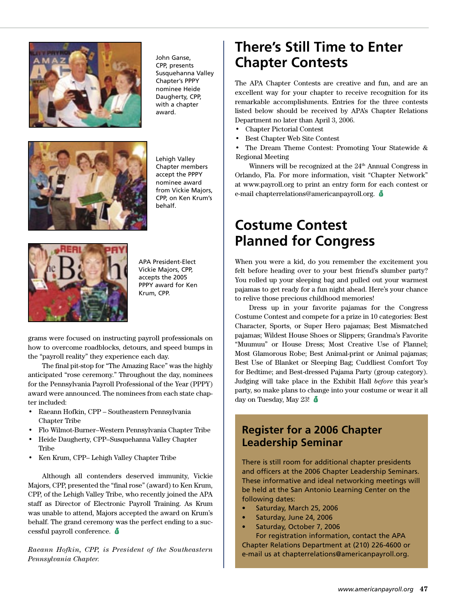

John Ganse, CPP, presents Susquehanna Valley Chapter's PPPY nominee Heide Daugherty, CPP, with a chapter award.



Lehigh Valley Chapter members accept the PPPY nominee award from Vickie Majors, CPP, on Ken Krum's behalf.



APA President-Elect Vickie Majors, CPP, accepts the 2005 PPPY award for Ken Krum, CPP.

grams were focused on instructing payroll professionals on how to overcome roadblocks, detours, and speed bumps in the "payroll reality" they experience each day.

The final pit-stop for "The Amazing Race" was the highly anticipated "rose ceremony." Throughout the day, nominees for the Pennsylvania Payroll Professional of the Year (PPPY) award were announced. The nominees from each state chapter included:

- Raeann Hofkin, CPP Southeastern Pennsylvania Chapter Tribe
- Flo Wilmot-Burner–Western Pennsylvania Chapter Tribe
- Heide Daugherty, CPP–Susquehanna Valley Chapter Tribe
- Ken Krum, CPP– Lehigh Valley Chapter Tribe

Although all contenders deserved immunity, Vickie Majors, CPP, presented the "final rose" (award) to Ken Krum, CPP, of the Lehigh Valley Tribe, who recently joined the APA staff as Director of Electronic Payroll Training. As Krum was unable to attend, Majors accepted the award on Krum's behalf. The grand ceremony was the perfect ending to a successful payroll conference. ë

*Raeann Hofkin, CPP, is President of the Southeastern Pennsylvania Chapter.*

## **There's Still Time to Enter Chapter Contests**

The APA Chapter Contests are creative and fun, and are an excellent way for your chapter to receive recognition for its remarkable accomplishments. Entries for the three contests listed below should be received by APA's Chapter Relations Department no later than April 3, 2006.

- Chapter Pictorial Contest
- Best Chapter Web Site Contest
- The Dream Theme Contest: Promoting Your Statewide & Regional Meeting

Winners will be recognized at the  $24<sup>th</sup>$  Annual Congress in Orlando, Fla. For more information, visit "Chapter Network" at www.payroll.org to print an entry form for each contest or e-mail chapterrelations@americanpayroll.org. ë

## **Costume Contest Planned for Congress**

When you were a kid, do you remember the excitement you felt before heading over to your best friend's slumber party? You rolled up your sleeping bag and pulled out your warmest pajamas to get ready for a fun night ahead. Here's your chance to relive those precious childhood memories!

Dress up in your favorite pajamas for the Congress Costume Contest and compete for a prize in 10 categories: Best Character, Sports, or Super Hero pajamas; Best Mismatched pajamas; Wildest House Shoes or Slippers; Grandma's Favorite "Muumuu" or House Dress; Most Creative Use of Flannel; Most Glamorous Robe; Best Animal-print or Animal pajamas; Best Use of Blanket or Sleeping Bag; Cuddliest Comfort Toy for Bedtime; and Best-dressed Pajama Party (group category). Judging will take place in the Exhibit Hall *before* this year's party, so make plans to change into your costume or wear it all day on Tuesday, May 23!  $\delta$ 

### **Register for a 2006 Chapter Leadership Seminar**

There is still room for additional chapter presidents and officers at the 2006 Chapter Leadership Seminars. These informative and ideal networking meetings will be held at the San Antonio Learning Center on the following dates:

- Saturday, March 25, 2006
- Saturday, June 24, 2006
- Saturday, October 7, 2006

For registration information, contact the APA Chapter Relations Department at (210) 226-4600 or e-mail us at chapterrelations@americanpayroll.org.